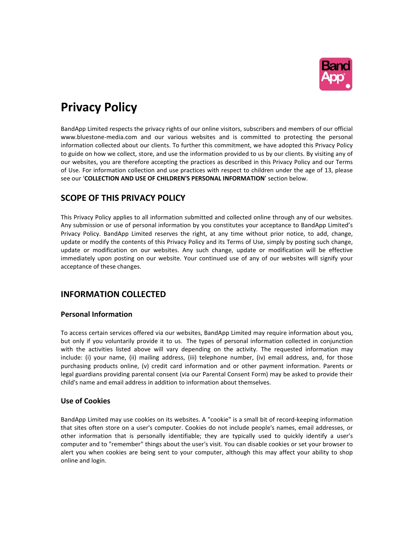

# **Privacy Policy**

BandApp Limited respects the privacy rights of our online visitors, subscribers and members of our official www.bluestone-media.com and our various websites and is committed to protecting the personal information collected about our clients. To further this commitment, we have adopted this Privacy Policy to guide on how we collect, store, and use the information provided to us by our clients. By visiting any of our websites, you are therefore accepting the practices as described in this Privacy Policy and our Terms of Use. For information collection and use practices with respect to children under the age of 13, please see our '**COLLECTION AND USE OF CHILDREN'S PERSONAL INFORMATION**' section below.

## **SCOPE OF THIS PRIVACY POLICY**

This Privacy Policy applies to all information submitted and collected online through any of our websites. Any submission or use of personal information by you constitutes your acceptance to BandApp Limited's Privacy Policy. BandApp Limited reserves the right, at any time without prior notice, to add, change, update or modify the contents of this Privacy Policy and its Terms of Use, simply by posting such change, update or modification on our websites. Any such change, update or modification will be effective immediately upon posting on our website. Your continued use of any of our websites will signify your acceptance of these changes.

## **INFORMATION COLLECTED**

### **Personal Information**

To access certain services offered via our websites, BandApp Limited may require information about you, but only if you voluntarily provide it to us. The types of personal information collected in conjunction with the activities listed above will vary depending on the activity. The requested information may include: (i) your name, (ii) mailing address, (iii) telephone number, (iv) email address, and, for those purchasing products online, (v) credit card information and or other payment information. Parents or legal guardians providing parental consent (via our Parental Consent Form) may be asked to provide their child's name and email address in addition to information about themselves.

## **Use of Cookies**

BandApp Limited may use cookies on its websites. A "cookie" is a small bit of record-keeping information that sites often store on a user's computer. Cookies do not include people's names, email addresses, or other information that is personally identifiable; they are typically used to quickly identify a user's computer and to "remember" things about the user's visit. You can disable cookies or set your browser to alert you when cookies are being sent to your computer, although this may affect your ability to shop online and login.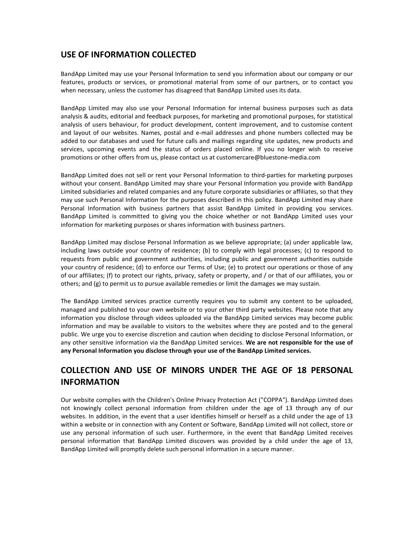## **USE OF INFORMATION COLLECTED**

BandApp Limited may use your Personal Information to send you information about our company or our features, products or services, or promotional material from some of our partners, or to contact you when necessary, unless the customer has disagreed that BandApp Limited uses its data.

BandApp Limited may also use your Personal Information for internal business purposes such as data analysis & audits, editorial and feedback purposes, for marketing and promotional purposes, for statistical analysis of users behaviour, for product development, content improvement, and to customise content and layout of our websites. Names, postal and e-mail addresses and phone numbers collected may be added to our databases and used for future calls and mailings regarding site updates, new products and services, upcoming events and the status of orders placed online. If you no longer wish to receive promotions or other offers from us, please contact us at customercare@bluestone-media.com

BandApp Limited does not sell or rent your Personal Information to third-parties for marketing purposes without your consent. BandApp Limited may share your Personal Information you provide with BandApp Limited subsidiaries and related companies and any future corporate subsidiaries or affiliates, so that they may use such Personal Information for the purposes described in this policy. BandApp Limited may share Personal Information with business partners that assist BandApp Limited in providing you services. BandApp Limited is committed to giving you the choice whether or not BandApp Limited uses your information for marketing purposes or shares information with business partners.

BandApp Limited may disclose Personal Information as we believe appropriate; (a) under applicable law, including laws outside your country of residence; (b) to comply with legal processes; (c) to respond to requests from public and government authorities, including public and government authorities outside your country of residence; (d) to enforce our Terms of Use; (e) to protect our operations or those of any of our affiliates; (f) to protect our rights, privacy, safety or property, and / or that of our affiliates, you or others; and (g) to permit us to pursue available remedies or limit the damages we may sustain.

The BandApp Limited services practice currently requires you to submit any content to be uploaded, managed and published to your own website or to your other third party websites. Please note that any information you disclose through videos uploaded via the BandApp Limited services may become public information and may be available to visitors to the websites where they are posted and to the general public. We urge you to exercise discretion and caution when deciding to disclose Personal Information, or any other sensitive information via the BandApp Limited services. **We are not responsible for the use of any Personal Information you disclose through your use of the BandApp Limited services.**

## **COLLECTION AND USE OF MINORS UNDER THE AGE OF 18 PERSONAL INFORMATION**

Our website complies with the Children's Online Privacy Protection Act ("COPPA"). BandApp Limited does not knowingly collect personal information from children under the age of 13 through any of our websites. In addition, in the event that a user identifies himself or herself as a child under the age of 13 within a website or in connection with any Content or Software, BandApp Limited will not collect, store or use any personal information of such user. Furthermore, in the event that BandApp Limited receives personal information that BandApp Limited discovers was provided by a child under the age of 13, BandApp Limited will promptly delete such personal information in a secure manner.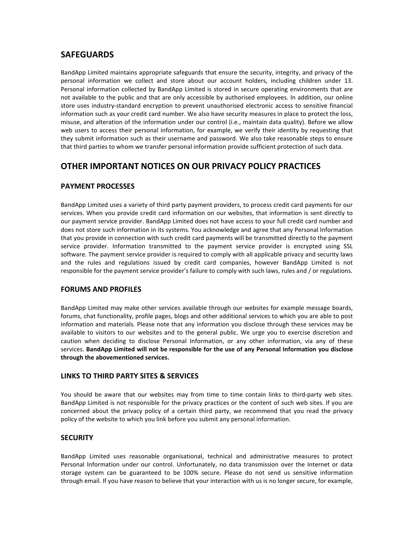## **SAFEGUARDS**

BandApp Limited maintains appropriate safeguards that ensure the security, integrity, and privacy of the personal information we collect and store about our account holders, including children under 13. Personal information collected by BandApp Limited is stored in secure operating environments that are not available to the public and that are only accessible by authorised employees. In addition, our online store uses industry-standard encryption to prevent unauthorised electronic access to sensitive financial information such as your credit card number. We also have security measures in place to protect the loss, misuse, and alteration of the information under our control (i.e., maintain data quality). Before we allow web users to access their personal information, for example, we verify their identity by requesting that they submit information such as their username and password. We also take reasonable steps to ensure that third parties to whom we transfer personal information provide sufficient protection of such data.

## **OTHER IMPORTANT NOTICES ON OUR PRIVACY POLICY PRACTICES**

### **PAYMENT PROCESSES**

BandApp Limited uses a variety of third party payment providers, to process credit card payments for our services. When you provide credit card information on our websites, that information is sent directly to our payment service provider. BandApp Limited does not have access to your full credit card number and does not store such information in its systems. You acknowledge and agree that any Personal Information that you provide in connection with such credit card payments will be transmitted directly to the payment service provider. Information transmitted to the payment service provider is encrypted using SSL software. The payment service provider is required to comply with all applicable privacy and security laws and the rules and regulations issued by credit card companies, however BandApp Limited is not responsible for the payment service provider's failure to comply with such laws, rules and / or regulations.

### **FORUMS AND PROFILES**

BandApp Limited may make other services available through our websites for example message boards, forums, chat functionality, profile pages, blogs and other additional services to which you are able to post information and materials. Please note that any information you disclose through these services may be available to visitors to our websites and to the general public. We urge you to exercise discretion and caution when deciding to disclose Personal Information, or any other information, via any of these services. **BandApp Limited will not be responsible for the use of any Personal Information you disclose through the abovementioned services.**

#### **LINKS TO THIRD PARTY SITES & SERVICES**

You should be aware that our websites may from time to time contain links to third-party web sites. BandApp Limited is not responsible for the privacy practices or the content of such web sites. If you are concerned about the privacy policy of a certain third party, we recommend that you read the privacy policy of the website to which you link before you submit any personal information.

#### **SECURITY**

BandApp Limited uses reasonable organisational, technical and administrative measures to protect Personal Information under our control. Unfortunately, no data transmission over the Internet or data storage system can be guaranteed to be 100% secure. Please do not send us sensitive information through email. If you have reason to believe that your interaction with us is no longer secure, for example,